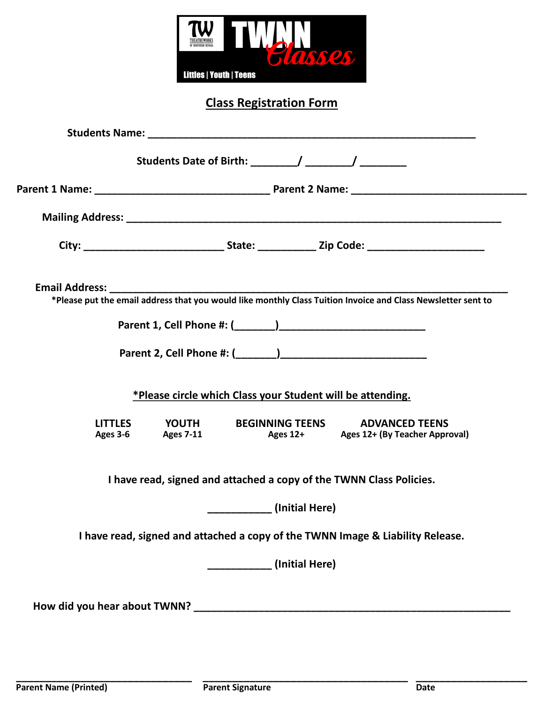

**Class Registration Form**

| *Please put the email address that you would like monthly Class Tuition Invoice and Class Newsletter sent to |
|--------------------------------------------------------------------------------------------------------------|
|                                                                                                              |
|                                                                                                              |
| *Please circle which Class your Student will be attending.                                                   |
| LITTLES YOUTH BEGINNING TEENS ADVANCED TEENS<br>Ages 3-6 Ages 7-11 Ages 12+ Ages 12+ (By Teacher Approval)   |
| I have read, signed and attached a copy of the TWNN Class Policies.                                          |
| (Initial Here)                                                                                               |
| I have read, signed and attached a copy of the TWNN Image & Liability Release.                               |
|                                                                                                              |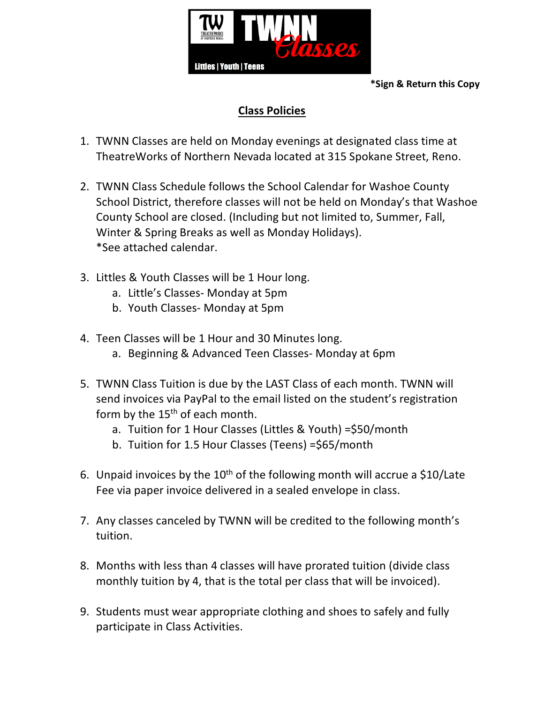

**\*Sign & Return this Copy**

# **Class Policies**

- 1. TWNN Classes are held on Monday evenings at designated class time at TheatreWorks of Northern Nevada located at 315 Spokane Street, Reno.
- 2. TWNN Class Schedule follows the School Calendar for Washoe County School District, therefore classes will not be held on Monday's that Washoe County School are closed. (Including but not limited to, Summer, Fall, Winter & Spring Breaks as well as Monday Holidays). \*See attached calendar.
- 3. Littles & Youth Classes will be 1 Hour long.
	- a. Little's Classes- Monday at 5pm
	- b. Youth Classes- Monday at 5pm
- 4. Teen Classes will be 1 Hour and 30 Minutes long.
	- a. Beginning & Advanced Teen Classes- Monday at 6pm
- 5. TWNN Class Tuition is due by the LAST Class of each month. TWNN will send invoices via PayPal to the email listed on the student's registration form by the  $15<sup>th</sup>$  of each month.
	- a. Tuition for 1 Hour Classes (Littles & Youth) =\$50/month
	- b. Tuition for 1.5 Hour Classes (Teens) =\$65/month
- 6. Unpaid invoices by the  $10<sup>th</sup>$  of the following month will accrue a \$10/Late Fee via paper invoice delivered in a sealed envelope in class.
- 7. Any classes canceled by TWNN will be credited to the following month's tuition.
- 8. Months with less than 4 classes will have prorated tuition (divide class monthly tuition by 4, that is the total per class that will be invoiced).
- 9. Students must wear appropriate clothing and shoes to safely and fully participate in Class Activities.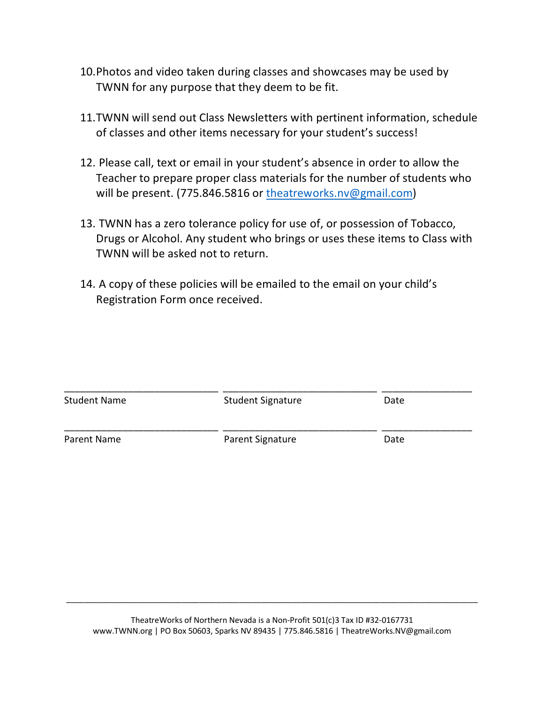- 10.Photos and video taken during classes and showcases may be used by TWNN for any purpose that they deem to be fit.
- 11.TWNN will send out Class Newsletters with pertinent information, schedule of classes and other items necessary for your student's success!
- 12. Please call, text or email in your student's absence in order to allow the Teacher to prepare proper class materials for the number of students who will be present. (775.846.5816 or theatreworks.nv@gmail.com)
- 13. TWNN has a zero tolerance policy for use of, or possession of Tobacco, Drugs or Alcohol. Any student who brings or uses these items to Class with TWNN will be asked not to return.
- 14. A copy of these policies will be emailed to the email on your child's Registration Form once received.

| <b>Student Name</b> | <b>Student Signature</b> | Date |  |
|---------------------|--------------------------|------|--|
| Parent Name         | Parent Signature         | Date |  |

\_\_\_\_\_\_\_\_\_\_\_\_\_\_\_\_\_\_\_\_\_\_\_\_\_\_\_\_\_\_\_\_\_\_\_\_\_\_\_\_\_\_\_\_\_\_\_\_\_\_\_\_\_\_\_\_\_\_\_\_\_\_\_\_\_\_\_\_\_\_\_\_\_\_\_\_\_\_\_\_\_\_\_\_\_\_\_\_\_\_\_\_\_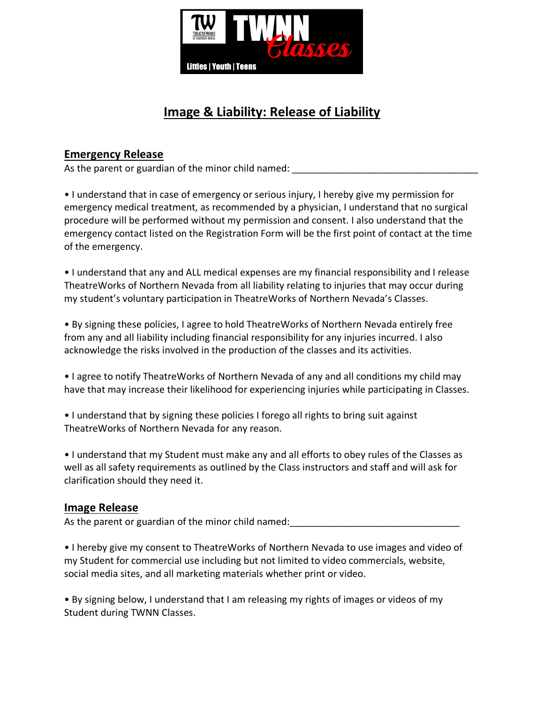

# **Image & Liability: Release of Liability**

### **Emergency Release**

As the parent or guardian of the minor child named:

• I understand that in case of emergency or serious injury, I hereby give my permission for emergency medical treatment, as recommended by a physician, I understand that no surgical procedure will be performed without my permission and consent. I also understand that the emergency contact listed on the Registration Form will be the first point of contact at the time of the emergency.

• I understand that any and ALL medical expenses are my financial responsibility and I release TheatreWorks of Northern Nevada from all liability relating to injuries that may occur during my student's voluntary participation in TheatreWorks of Northern Nevada's Classes.

• By signing these policies, I agree to hold TheatreWorks of Northern Nevada entirely free from any and all liability including financial responsibility for any injuries incurred. I also acknowledge the risks involved in the production of the classes and its activities.

• I agree to notify TheatreWorks of Northern Nevada of any and all conditions my child may have that may increase their likelihood for experiencing injuries while participating in Classes.

• I understand that by signing these policies I forego all rights to bring suit against TheatreWorks of Northern Nevada for any reason.

• I understand that my Student must make any and all efforts to obey rules of the Classes as well as all safety requirements as outlined by the Class instructors and staff and will ask for clarification should they need it.

#### **Image Release**

As the parent or guardian of the minor child named:

• I hereby give my consent to TheatreWorks of Northern Nevada to use images and video of my Student for commercial use including but not limited to video commercials, website, social media sites, and all marketing materials whether print or video.

• By signing below, I understand that I am releasing my rights of images or videos of my Student during TWNN Classes.